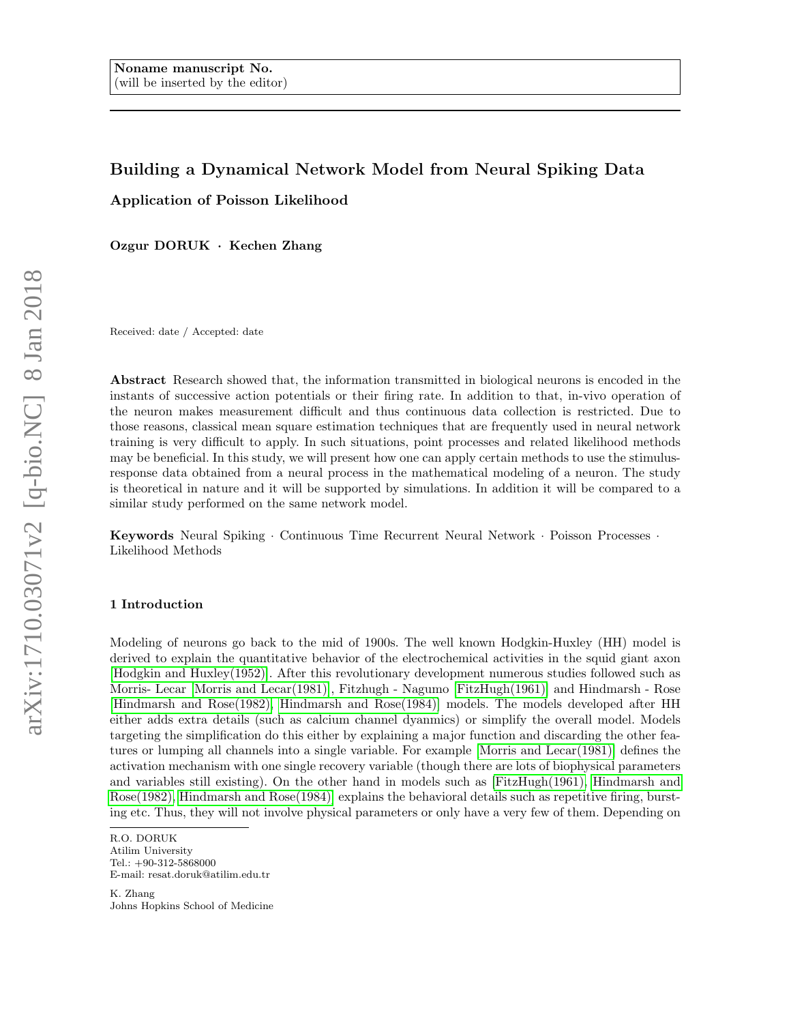# Building a Dynamical Network Model from Neural Spiking Data

Application of Poisson Likelihood

Ozgur DORUK · Kechen Zhang

Received: date / Accepted: date

Abstract Research showed that, the information transmitted in biological neurons is encoded in the instants of successive action potentials or their firing rate. In addition to that, in-vivo operation of the neuron makes measurement difficult and thus continuous data collection is restricted. Due to those reasons, classical mean square estimation techniques that are frequently used in neural network training is very difficult to apply. In such situations, point processes and related likelihood methods may be beneficial. In this study, we will present how one can apply certain methods to use the stimulusresponse data obtained from a neural process in the mathematical modeling of a neuron. The study is theoretical in nature and it will be supported by simulations. In addition it will be compared to a similar study performed on the same network model.

Keywords Neural Spiking · Continuous Time Recurrent Neural Network · Poisson Processes · Likelihood Methods

# <span id="page-0-0"></span>1 Introduction

Modeling of neurons go back to the mid of 1900s. The well known Hodgkin-Huxley (HH) model is derived to explain the quantitative behavior of the electrochemical activities in the squid giant axon [\[Hodgkin and Huxley\(1952\)\]](#page-11-0). After this revolutionary development numerous studies followed such as Morris- Lecar [\[Morris and Lecar\(1981\)\]](#page-11-1), Fitzhugh - Nagumo [\[FitzHugh\(1961\)\]](#page-11-2) and Hindmarsh - Rose [\[Hindmarsh and Rose\(1982\),](#page-11-3) [Hindmarsh and Rose\(1984\)\]](#page-11-4) models. The models developed after HH either adds extra details (such as calcium channel dyanmics) or simplify the overall model. Models targeting the simplification do this either by explaining a major function and discarding the other features or lumping all channels into a single variable. For example [\[Morris and Lecar\(1981\)\]](#page-11-1) defines the activation mechanism with one single recovery variable (though there are lots of biophysical parameters and variables still existing). On the other hand in models such as [\[FitzHugh\(1961\),](#page-11-2) [Hindmarsh and](#page-11-3) [Rose\(1982\),](#page-11-3) [Hindmarsh and Rose\(1984\)\]](#page-11-4) explains the behavioral details such as repetitive firing, bursting etc. Thus, they will not involve physical parameters or only have a very few of them. Depending on

R.O. DORUK

Atilim University Tel.: +90-312-5868000 E-mail: resat.doruk@atilim.edu.tr

K. Zhang Johns Hopkins School of Medicine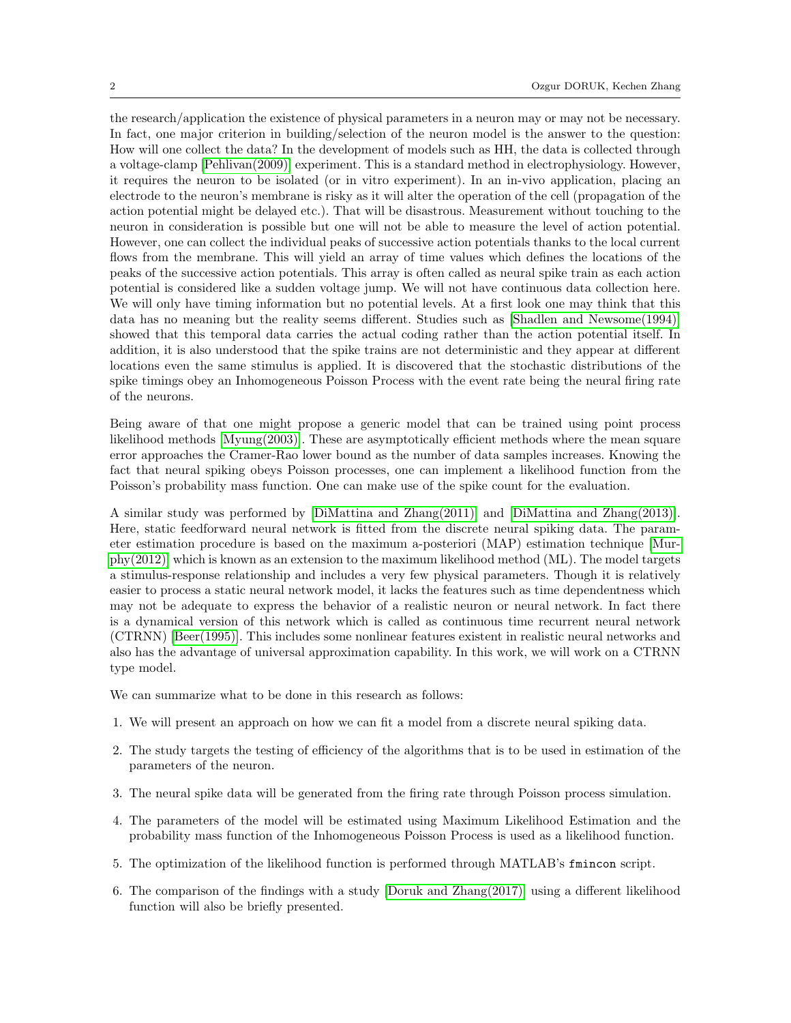the research/application the existence of physical parameters in a neuron may or may not be necessary. In fact, one major criterion in building/selection of the neuron model is the answer to the question: How will one collect the data? In the development of models such as HH, the data is collected through a voltage-clamp [\[Pehlivan\(2009\)\]](#page-12-0) experiment. This is a standard method in electrophysiology. However, it requires the neuron to be isolated (or in vitro experiment). In an in-vivo application, placing an electrode to the neuron's membrane is risky as it will alter the operation of the cell (propagation of the action potential might be delayed etc.). That will be disastrous. Measurement without touching to the neuron in consideration is possible but one will not be able to measure the level of action potential. However, one can collect the individual peaks of successive action potentials thanks to the local current flows from the membrane. This will yield an array of time values which defines the locations of the peaks of the successive action potentials. This array is often called as neural spike train as each action potential is considered like a sudden voltage jump. We will not have continuous data collection here. We will only have timing information but no potential levels. At a first look one may think that this data has no meaning but the reality seems different. Studies such as [\[Shadlen and Newsome\(1994\)\]](#page-12-1) showed that this temporal data carries the actual coding rather than the action potential itself. In addition, it is also understood that the spike trains are not deterministic and they appear at different locations even the same stimulus is applied. It is discovered that the stochastic distributions of the spike timings obey an Inhomogeneous Poisson Process with the event rate being the neural firing rate of the neurons.

Being aware of that one might propose a generic model that can be trained using point process likelihood methods [\[Myung\(2003\)\]](#page-11-5). These are asymptotically efficient methods where the mean square error approaches the Cramer-Rao lower bound as the number of data samples increases. Knowing the fact that neural spiking obeys Poisson processes, one can implement a likelihood function from the Poisson's probability mass function. One can make use of the spike count for the evaluation.

A similar study was performed by [\[DiMattina and Zhang\(2011\)\]](#page-11-6) and [\[DiMattina and Zhang\(2013\)\]](#page-11-7). Here, static feedforward neural network is fitted from the discrete neural spiking data. The parameter estimation procedure is based on the maximum a-posteriori (MAP) estimation technique [\[Mur](#page-11-8)[phy\(2012\)\]](#page-11-8) which is known as an extension to the maximum likelihood method (ML). The model targets a stimulus-response relationship and includes a very few physical parameters. Though it is relatively easier to process a static neural network model, it lacks the features such as time dependentness which may not be adequate to express the behavior of a realistic neuron or neural network. In fact there is a dynamical version of this network which is called as continuous time recurrent neural network (CTRNN) [\[Beer\(1995\)\]](#page-11-9). This includes some nonlinear features existent in realistic neural networks and also has the advantage of universal approximation capability. In this work, we will work on a CTRNN type model.

We can summarize what to be done in this research as follows:

- 1. We will present an approach on how we can fit a model from a discrete neural spiking data.
- 2. The study targets the testing of efficiency of the algorithms that is to be used in estimation of the parameters of the neuron.
- 3. The neural spike data will be generated from the firing rate through Poisson process simulation.
- 4. The parameters of the model will be estimated using Maximum Likelihood Estimation and the probability mass function of the Inhomogeneous Poisson Process is used as a likelihood function.
- 5. The optimization of the likelihood function is performed through MATLAB's fmincon script.
- 6. The comparison of the findings with a study [\[Doruk and Zhang\(2017\)\]](#page-11-10) using a different likelihood function will also be briefly presented.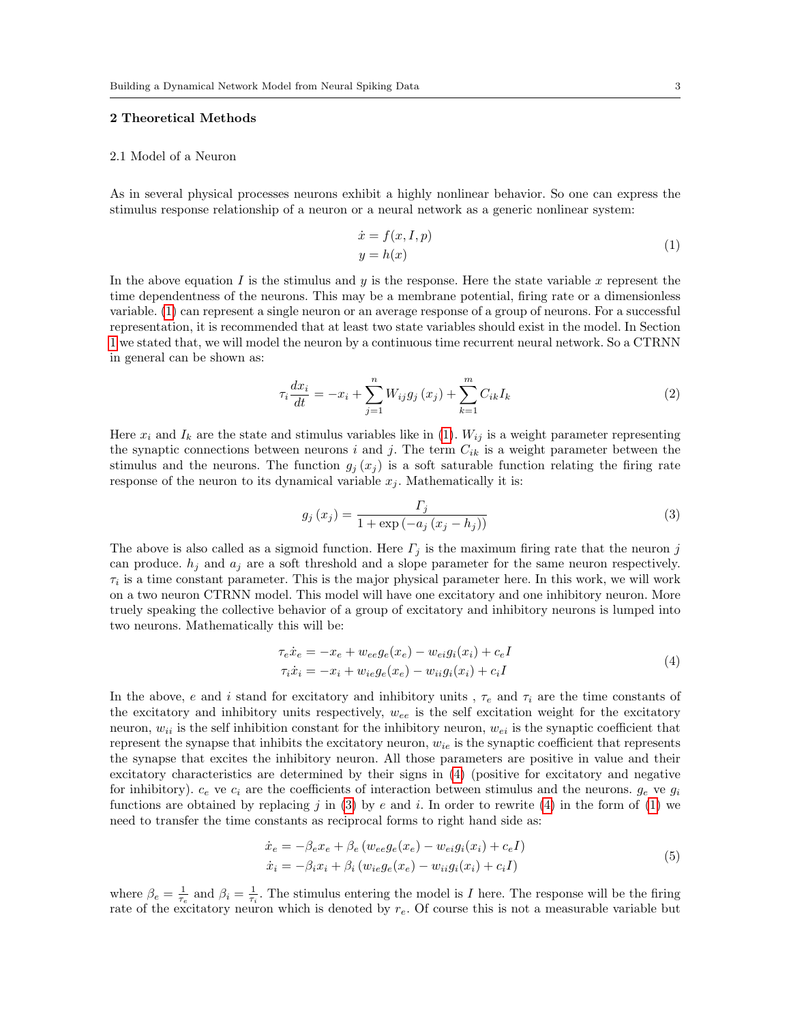## 2 Theoretical Methods

#### 2.1 Model of a Neuron

As in several physical processes neurons exhibit a highly nonlinear behavior. So one can express the stimulus response relationship of a neuron or a neural network as a generic nonlinear system:

<span id="page-2-0"></span>
$$
\begin{aligned}\n\dot{x} &= f(x, I, p) \\
y &= h(x)\n\end{aligned} \tag{1}
$$

In the above equation I is the stimulus and y is the response. Here the state variable x represent the time dependentness of the neurons. This may be a membrane potential, firing rate or a dimensionless variable. [\(1\)](#page-2-0) can represent a single neuron or an average response of a group of neurons. For a successful representation, it is recommended that at least two state variables should exist in the model. In Section [1](#page-0-0) we stated that, we will model the neuron by a continuous time recurrent neural network. So a CTRNN in general can be shown as:

$$
\tau_i \frac{dx_i}{dt} = -x_i + \sum_{j=1}^n W_{ij} g_j(x_j) + \sum_{k=1}^m C_{ik} I_k \tag{2}
$$

Here  $x_i$  and  $I_k$  are the state and stimulus variables like in [\(1\)](#page-2-0).  $W_{ij}$  is a weight parameter representing the synaptic connections between neurons i and j. The term  $C_{ik}$  is a weight parameter between the stimulus and the neurons. The function  $g_j(x_j)$  is a soft saturable function relating the firing rate response of the neuron to its dynamical variable  $x_j$ . Mathematically it is:

<span id="page-2-2"></span>
$$
g_j(x_j) = \frac{\Gamma_j}{1 + \exp(-a_j(x_j - h_j))}
$$
\n(3)

The above is also called as a sigmoid function. Here  $\Gamma_i$  is the maximum firing rate that the neuron j can produce.  $h_j$  and  $a_j$  are a soft threshold and a slope parameter for the same neuron respectively.  $\tau_i$  is a time constant parameter. This is the major physical parameter here. In this work, we will work on a two neuron CTRNN model. This model will have one excitatory and one inhibitory neuron. More truely speaking the collective behavior of a group of excitatory and inhibitory neurons is lumped into two neurons. Mathematically this will be:

<span id="page-2-1"></span>
$$
\tau_e \dot{x}_e = -x_e + w_{ee} g_e(x_e) - w_{ei} g_i(x_i) + c_e I
$$
  
\n
$$
\tau_i \dot{x}_i = -x_i + w_{ie} g_e(x_e) - w_{ii} g_i(x_i) + c_i I
$$
\n(4)

In the above, e and i stand for excitatory and inhibitory units,  $\tau_e$  and  $\tau_i$  are the time constants of the excitatory and inhibitory units respectively,  $w_{ee}$  is the self excitation weight for the excitatory neuron,  $w_{ii}$  is the self inhibition constant for the inhibitory neuron,  $w_{ei}$  is the synaptic coefficient that represent the synapse that inhibits the excitatory neuron,  $w_{ie}$  is the synaptic coefficient that represents the synapse that excites the inhibitory neuron. All those parameters are positive in value and their excitatory characteristics are determined by their signs in [\(4\)](#page-2-1) (positive for excitatory and negative for inhibitory).  $c_e$  ve  $c_i$  are the coefficients of interaction between stimulus and the neurons.  $g_e$  ve  $g_i$ functions are obtained by replacing j in [\(3\)](#page-2-2) by e and i. In order to rewrite [\(4\)](#page-2-1) in the form of [\(1\)](#page-2-0) we need to transfer the time constants as reciprocal forms to right hand side as:

<span id="page-2-3"></span>
$$
\begin{aligned}\n\dot{x}_e &= -\beta_e x_e + \beta_e \left( w_{ee} g_e(x_e) - w_{ei} g_i(x_i) + c_e I \right) \\
\dot{x}_i &= -\beta_i x_i + \beta_i \left( w_{ie} g_e(x_e) - w_{ii} g_i(x_i) + c_i I \right)\n\end{aligned} \tag{5}
$$

where  $\beta_e = \frac{1}{\tau_e}$  and  $\beta_i = \frac{1}{\tau_i}$ . The stimulus entering the model is I here. The response will be the firing rate of the excitatory neuron which is denoted by  $r_e$ . Of course this is not a measurable variable but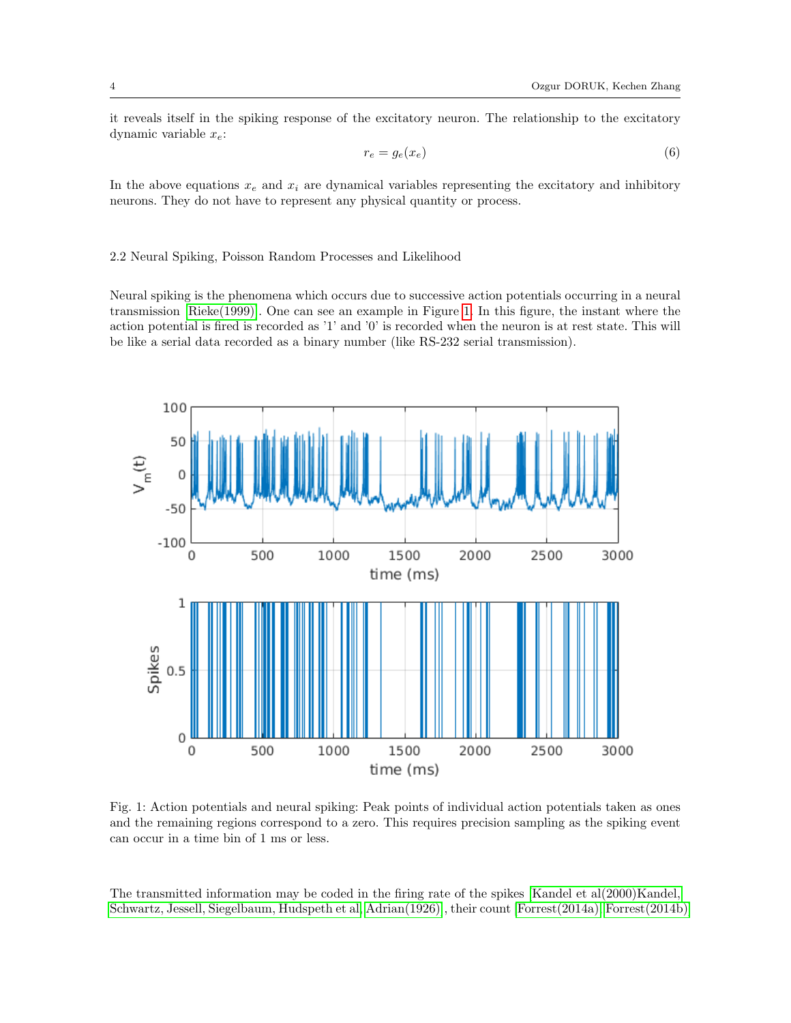<span id="page-3-1"></span>it reveals itself in the spiking response of the excitatory neuron. The relationship to the excitatory dynamic variable  $x_e$ :

$$
r_e = g_e(x_e) \tag{6}
$$

In the above equations  $x_e$  and  $x_i$  are dynamical variables representing the excitatory and inhibitory neurons. They do not have to represent any physical quantity or process.

## <span id="page-3-2"></span>2.2 Neural Spiking, Poisson Random Processes and Likelihood

Neural spiking is the phenomena which occurs due to successive action potentials occurring in a neural transmission [\[Rieke\(1999\)\]](#page-12-2). One can see an example in Figure [1.](#page-3-0) In this figure, the instant where the action potential is fired is recorded as '1' and '0' is recorded when the neuron is at rest state. This will be like a serial data recorded as a binary number (like RS-232 serial transmission).

<span id="page-3-0"></span>

Fig. 1: Action potentials and neural spiking: Peak points of individual action potentials taken as ones and the remaining regions correspond to a zero. This requires precision sampling as the spiking event can occur in a time bin of 1 ms or less.

The transmitted information may be coded in the firing rate of the spikes [\[Kandel et al\(2000\)Kandel,](#page-11-11) [Schwartz, Jessell, Siegelbaum, Hudspeth et al,](#page-11-11) [Adrian\(1926\)\]](#page-11-12), their count [\[Forrest\(2014a\),](#page-11-13) [Forrest\(2014b\)\]](#page-11-14)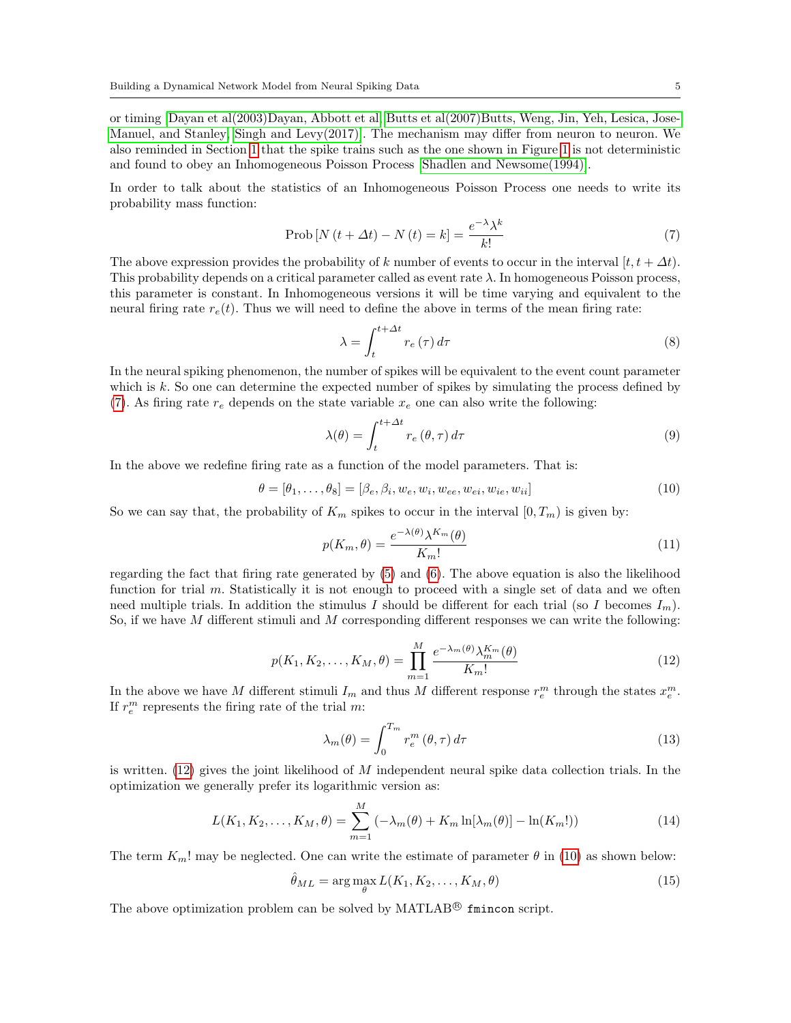or timing [\[Dayan et al\(2003\)Dayan, Abbott et al,](#page-11-15) [Butts et al\(2007\)Butts, Weng, Jin, Yeh, Lesica, Jose-](#page-11-16)[Manuel, and Stanley,](#page-11-16) [Singh and Levy\(2017\)\]](#page-12-3). The mechanism may differ from neuron to neuron. We also reminded in Section [1](#page-0-0) that the spike trains such as the one shown in Figure [1](#page-3-0) is not deterministic and found to obey an Inhomogeneous Poisson Process [\[Shadlen and Newsome\(1994\)\]](#page-12-1).

In order to talk about the statistics of an Inhomogeneous Poisson Process one needs to write its probability mass function:

<span id="page-4-0"></span>
$$
Prob[N(t + \Delta t) - N(t) = k] = \frac{e^{-\lambda}\lambda^k}{k!}
$$
\n(7)

The above expression provides the probability of k number of events to occur in the interval  $[t, t + \Delta t]$ . This probability depends on a critical parameter called as event rate  $\lambda$ . In homogeneous Poisson process, this parameter is constant. In Inhomogeneous versions it will be time varying and equivalent to the neural firing rate  $r_e(t)$ . Thus we will need to define the above in terms of the mean firing rate:

$$
\lambda = \int_{t}^{t + \Delta t} r_e(\tau) d\tau \tag{8}
$$

In the neural spiking phenomenon, the number of spikes will be equivalent to the event count parameter which is  $k$ . So one can determine the expected number of spikes by simulating the process defined by [\(7\)](#page-4-0). As firing rate  $r_e$  depends on the state variable  $x_e$  one can also write the following:

<span id="page-4-2"></span>
$$
\lambda(\theta) = \int_{t}^{t + \Delta t} r_e(\theta, \tau) d\tau
$$
\n(9)

In the above we redefine firing rate as a function of the model parameters. That is:

$$
\theta = [\theta_1, \dots, \theta_8] = [\beta_e, \beta_i, w_e, w_i, w_{ee}, w_{ei}, w_{ie}, w_{ii}] \tag{10}
$$

So we can say that, the probability of  $K_m$  spikes to occur in the interval  $[0, T_m)$  is given by:

$$
p(K_m, \theta) = \frac{e^{-\lambda(\theta)} \lambda^{K_m}(\theta)}{K_m!}
$$
\n(11)

<span id="page-4-1"></span>regarding the fact that firing rate generated by [\(5\)](#page-2-3) and [\(6\)](#page-3-1). The above equation is also the likelihood function for trial m. Statistically it is not enough to proceed with a single set of data and we often need multiple trials. In addition the stimulus I should be different for each trial (so I becomes  $I_m$ ). So, if we have  $M$  different stimuli and  $M$  corresponding different responses we can write the following:

$$
p(K_1, K_2, \dots, K_M, \theta) = \prod_{m=1}^M \frac{e^{-\lambda_m(\theta)} \lambda_m^{K_m}(\theta)}{K_m!}
$$
\n(12)

In the above we have M different stimuli  $I_m$  and thus M different response  $r_e^m$  through the states  $x_e^m$ . If  $r_e^m$  represents the firing rate of the trial m:

<span id="page-4-3"></span>
$$
\lambda_m(\theta) = \int_0^{T_m} r_e^m(\theta, \tau) d\tau
$$
\n(13)

is written.  $(12)$  gives the joint likelihood of M independent neural spike data collection trials. In the optimization we generally prefer its logarithmic version as:

$$
L(K_1, K_2, \dots, K_M, \theta) = \sum_{m=1}^{M} \left( -\lambda_m(\theta) + K_m \ln[\lambda_m(\theta)] - \ln(K_m!) \right)
$$
 (14)

The term  $K_m!$  may be neglected. One can write the estimate of parameter  $\theta$  in [\(10\)](#page-4-2) as shown below:

$$
\hat{\theta}_{ML} = \arg\max_{\theta} L(K_1, K_2, \dots, K_M, \theta)
$$
\n(15)

The above optimization problem can be solved by MATLAB<sup>®</sup> fmincon script.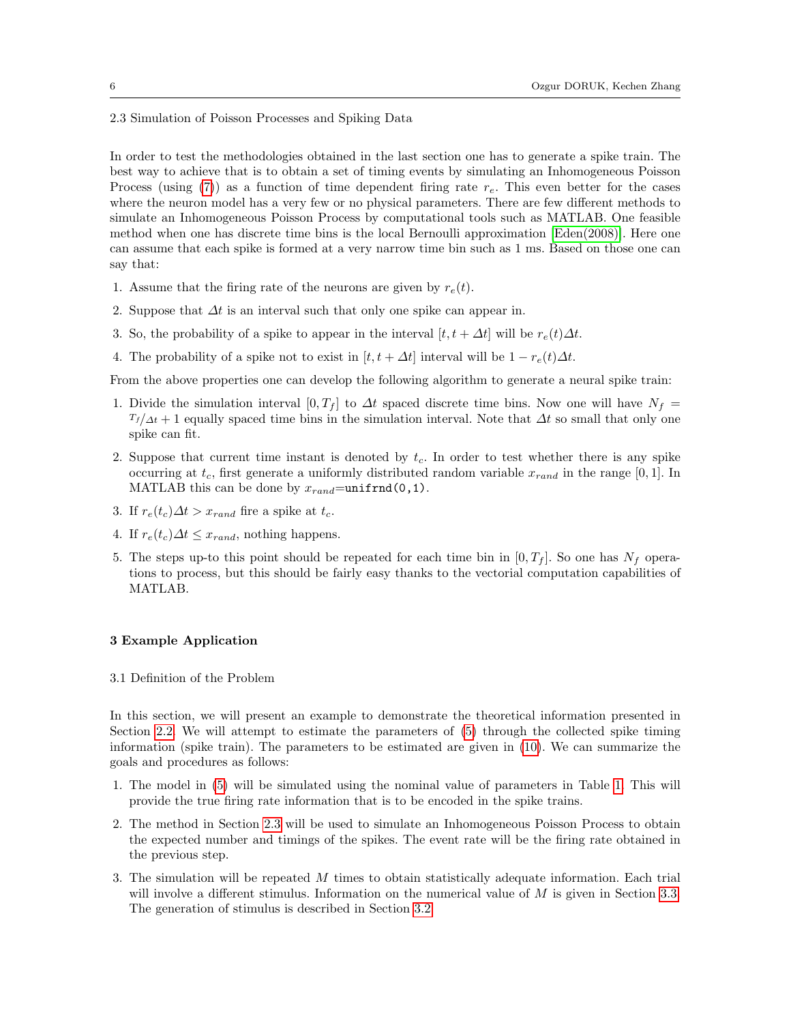<span id="page-5-0"></span>2.3 Simulation of Poisson Processes and Spiking Data

In order to test the methodologies obtained in the last section one has to generate a spike train. The best way to achieve that is to obtain a set of timing events by simulating an Inhomogeneous Poisson Process (using [\(7\)](#page-4-0)) as a function of time dependent firing rate  $r<sub>e</sub>$ . This even better for the cases where the neuron model has a very few or no physical parameters. There are few different methods to simulate an Inhomogeneous Poisson Process by computational tools such as MATLAB. One feasible method when one has discrete time bins is the local Bernoulli approximation [\[Eden\(2008\)\]](#page-11-17). Here one can assume that each spike is formed at a very narrow time bin such as 1 ms. Based on those one can say that:

- 1. Assume that the firing rate of the neurons are given by  $r_e(t)$ .
- 2. Suppose that  $\Delta t$  is an interval such that only one spike can appear in.
- 3. So, the probability of a spike to appear in the interval  $[t, t + \Delta t]$  will be  $r_e(t)\Delta t$ .
- 4. The probability of a spike not to exist in  $[t, t + \Delta t]$  interval will be  $1 r_e(t)\Delta t$ .

From the above properties one can develop the following algorithm to generate a neural spike train:

- 1. Divide the simulation interval  $[0, T_f]$  to  $\Delta t$  spaced discrete time bins. Now one will have  $N_f =$  $T_f/\Delta t + 1$  equally spaced time bins in the simulation interval. Note that  $\Delta t$  so small that only one spike can fit.
- 2. Suppose that current time instant is denoted by  $t_c$ . In order to test whether there is any spike occurring at  $t_c$ , first generate a uniformly distributed random variable  $x_{rand}$  in the range [0, 1]. In MATLAB this can be done by  $x_{rand}$ =unifrnd(0,1).
- 3. If  $r_e(t_c)\Delta t > x_{rand}$  fire a spike at  $t_c$ .
- 4. If  $r_e(t_c)\Delta t \leq x_{rand}$ , nothing happens.
- 5. The steps up-to this point should be repeated for each time bin in  $[0, T_f]$ . So one has  $N_f$  operations to process, but this should be fairly easy thanks to the vectorial computation capabilities of MATLAB.

# <span id="page-5-2"></span>3 Example Application

<span id="page-5-1"></span>3.1 Definition of the Problem

In this section, we will present an example to demonstrate the theoretical information presented in Section [2.2.](#page-3-2) We will attempt to estimate the parameters of [\(5\)](#page-2-3) through the collected spike timing information (spike train). The parameters to be estimated are given in [\(10\)](#page-4-2). We can summarize the goals and procedures as follows:

- 1. The model in [\(5\)](#page-2-3) will be simulated using the nominal value of parameters in Table [1.](#page-6-0) This will provide the true firing rate information that is to be encoded in the spike trains.
- 2. The method in Section [2.3](#page-5-0) will be used to simulate an Inhomogeneous Poisson Process to obtain the expected number and timings of the spikes. The event rate will be the firing rate obtained in the previous step.
- 3. The simulation will be repeated M times to obtain statistically adequate information. Each trial will involve a different stimulus. Information on the numerical value of  $M$  is given in Section [3.3.](#page-9-0) The generation of stimulus is described in Section [3.2.](#page-6-1)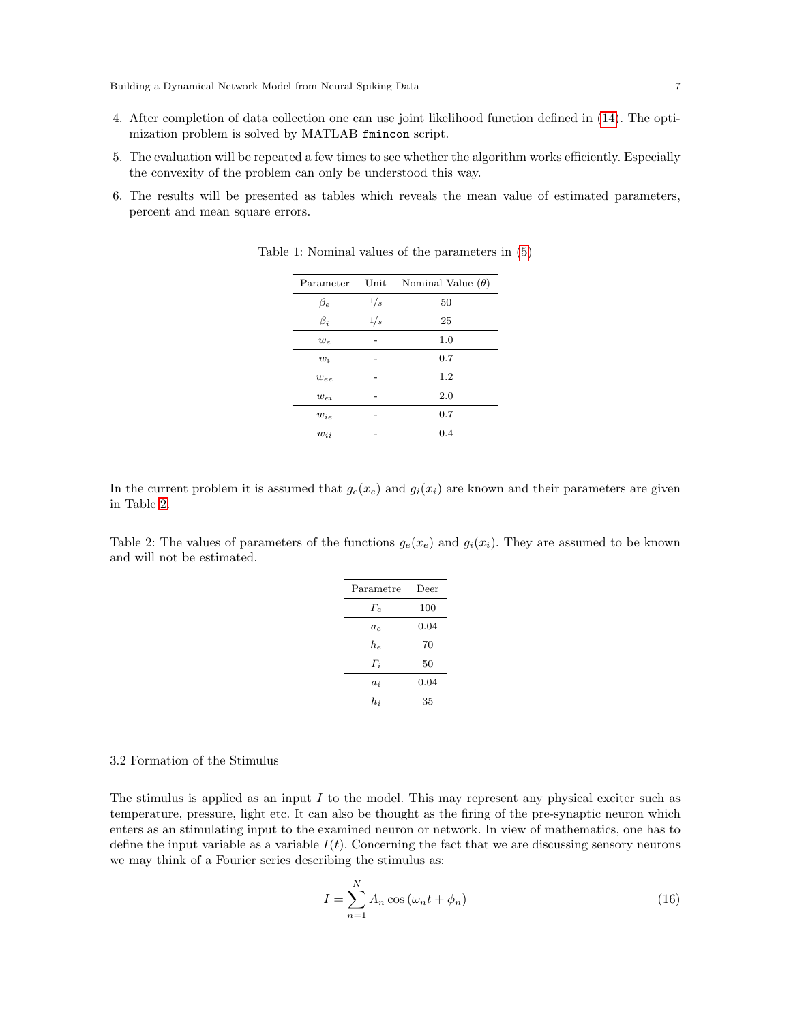- 4. After completion of data collection one can use joint likelihood function defined in [\(14\)](#page-4-3). The optimization problem is solved by MATLAB fmincon script.
- 5. The evaluation will be repeated a few times to see whether the algorithm works efficiently. Especially the convexity of the problem can only be understood this way.
- <span id="page-6-0"></span>6. The results will be presented as tables which reveals the mean value of estimated parameters, percent and mean square errors.

| Parameter | Unit | Nominal Value $(\theta)$ |
|-----------|------|--------------------------|
| $\beta_e$ | 1/s  | 50                       |
| $\beta_i$ | 1/s  | 25                       |
| $w_e$     |      | 1.0                      |
| $w_i$     |      | 0.7                      |
| we        |      | 1.2                      |
| $w_{ei}$  |      | 2.0                      |
| $w_{ie}$  |      | 0.7                      |
| $w_{ii}$  |      | 0.4                      |

Table 1: Nominal values of the parameters in [\(5\)](#page-2-3)

In the current problem it is assumed that  $g_e(x_e)$  and  $g_i(x_i)$  are known and their parameters are given in Table [2.](#page-6-2)

<span id="page-6-2"></span>Table 2: The values of parameters of the functions  $g_e(x_e)$  and  $g_i(x_i)$ . They are assumed to be known and will not be estimated.

| Parametre  | Deer |
|------------|------|
| $\Gamma_e$ | 100  |
| $a_e$      | 0.04 |
| $h_e$      | 70   |
| $\Gamma_i$ | 50   |
| $a_i$      | 0.04 |
| $h_i$      | 35   |

#### <span id="page-6-1"></span>3.2 Formation of the Stimulus

The stimulus is applied as an input I to the model. This may represent any physical exciter such as temperature, pressure, light etc. It can also be thought as the firing of the pre-synaptic neuron which enters as an stimulating input to the examined neuron or network. In view of mathematics, one has to define the input variable as a variable  $I(t)$ . Concerning the fact that we are discussing sensory neurons we may think of a Fourier series describing the stimulus as:

<span id="page-6-3"></span>
$$
I = \sum_{n=1}^{N} A_n \cos \left(\omega_n t + \phi_n\right) \tag{16}
$$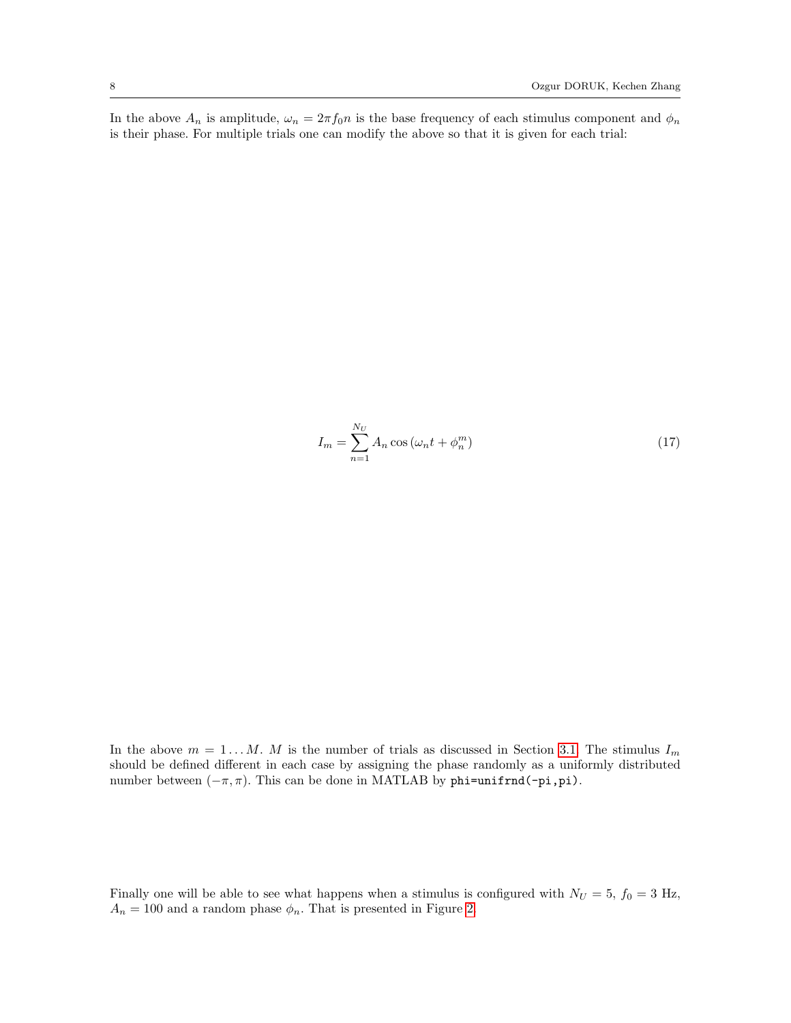In the above  $A_n$  is amplitude,  $\omega_n = 2\pi f_0 n$  is the base frequency of each stimulus component and  $\phi_n$ is their phase. For multiple trials one can modify the above so that it is given for each trial:

<span id="page-7-0"></span>
$$
I_m = \sum_{n=1}^{N_U} A_n \cos\left(\omega_n t + \phi_n^m\right) \tag{17}
$$

In the above  $m = 1...M$ . M is the number of trials as discussed in Section [3.1.](#page-5-1) The stimulus  $I_m$ should be defined different in each case by assigning the phase randomly as a uniformly distributed number between  $(-\pi, \pi)$ . This can be done in MATLAB by phi=unifrnd(-pi,pi).

Finally one will be able to see what happens when a stimulus is configured with  $N_U = 5$ ,  $f_0 = 3$  Hz,  $A_n=100$  and a random phase  $\phi_n.$  That is presented in Figure [2.](#page-8-0)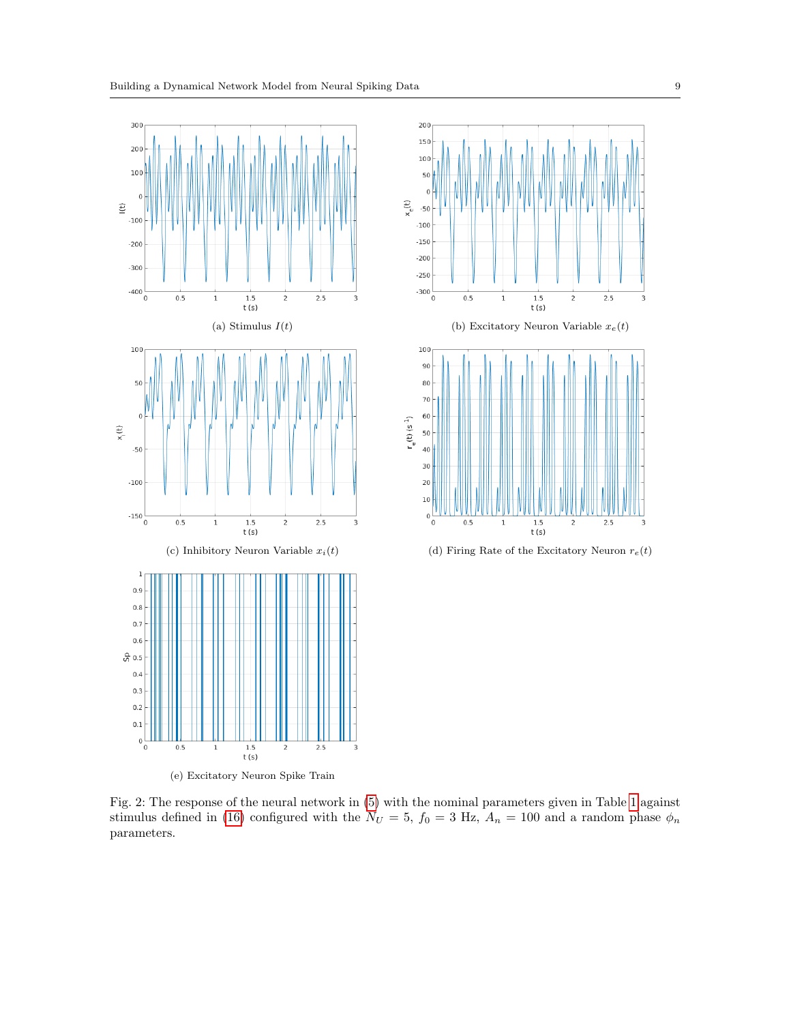<span id="page-8-0"></span>

Fig. 2: The response of the neural network in [\(5\)](#page-2-3) with the nominal parameters given in Table [1](#page-6-0) against stimulus defined in [\(16\)](#page-6-3) configured with the  $N_U = 5$ ,  $f_0 = 3$  Hz,  $A_n = 100$  and a random phase  $\phi_n$ parameters.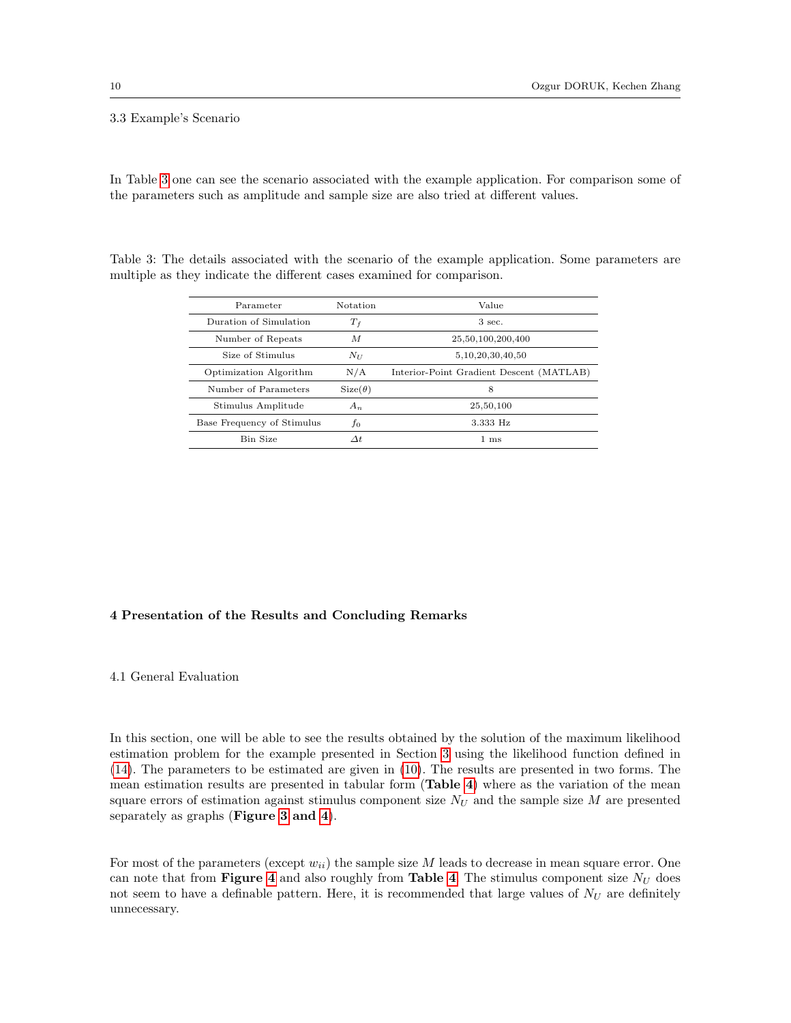## <span id="page-9-0"></span>3.3 Example's Scenario

In Table [3](#page-9-1) one can see the scenario associated with the example application. For comparison some of the parameters such as amplitude and sample size are also tried at different values.

<span id="page-9-1"></span>

|  |  |  |  |                                                                        | Table 3: The details associated with the scenario of the example application. Some parameters are |  |  |
|--|--|--|--|------------------------------------------------------------------------|---------------------------------------------------------------------------------------------------|--|--|
|  |  |  |  | multiple as they indicate the different cases examined for comparison. |                                                                                                   |  |  |
|  |  |  |  |                                                                        |                                                                                                   |  |  |

| Parameter                  | Notation       | Value                                    |
|----------------------------|----------------|------------------------------------------|
| Duration of Simulation     | $T_f$          | $3 \text{ sec.}$                         |
| Number of Repeats          | M              | 25,50,100,200,400                        |
| Size of Stimulus           | $N_{II}$       | 5, 10, 20, 30, 40, 50                    |
| Optimization Algorithm     | N/A            | Interior-Point Gradient Descent (MATLAB) |
| Number of Parameters       | $Size(\theta)$ | 8                                        |
| Stimulus Amplitude         | $A_n$          | 25,50,100                                |
| Base Frequency of Stimulus | $f_{0}$        | 3.333 Hz                                 |
| Bin Size                   | $\Delta t$     | $1 \text{ ms}$                           |

# 4 Presentation of the Results and Concluding Remarks

#### 4.1 General Evaluation

In this section, one will be able to see the results obtained by the solution of the maximum likelihood estimation problem for the example presented in Section [3](#page-5-2) using the likelihood function defined in [\(14\)](#page-4-3). The parameters to be estimated are given in [\(10\)](#page-4-2). The results are presented in two forms. The mean estimation results are presented in tabular form (Table [4](#page-13-0)) where as the variation of the mean square errors of estimation against stimulus component size  $N_U$  and the sample size  $M$  are presented separately as graphs (Figure [3](#page-10-0) and [4](#page-10-1)).

For most of the parameters (except  $w_{ii}$ ) the sample size M leads to decrease in mean square error. One can note that from **Figure [4](#page-13-0)** and also roughly from **Table 4**. The stimulus component size  $N_U$  does not seem to have a definable pattern. Here, it is recommended that large values of  $N_U$  are definitely unnecessary.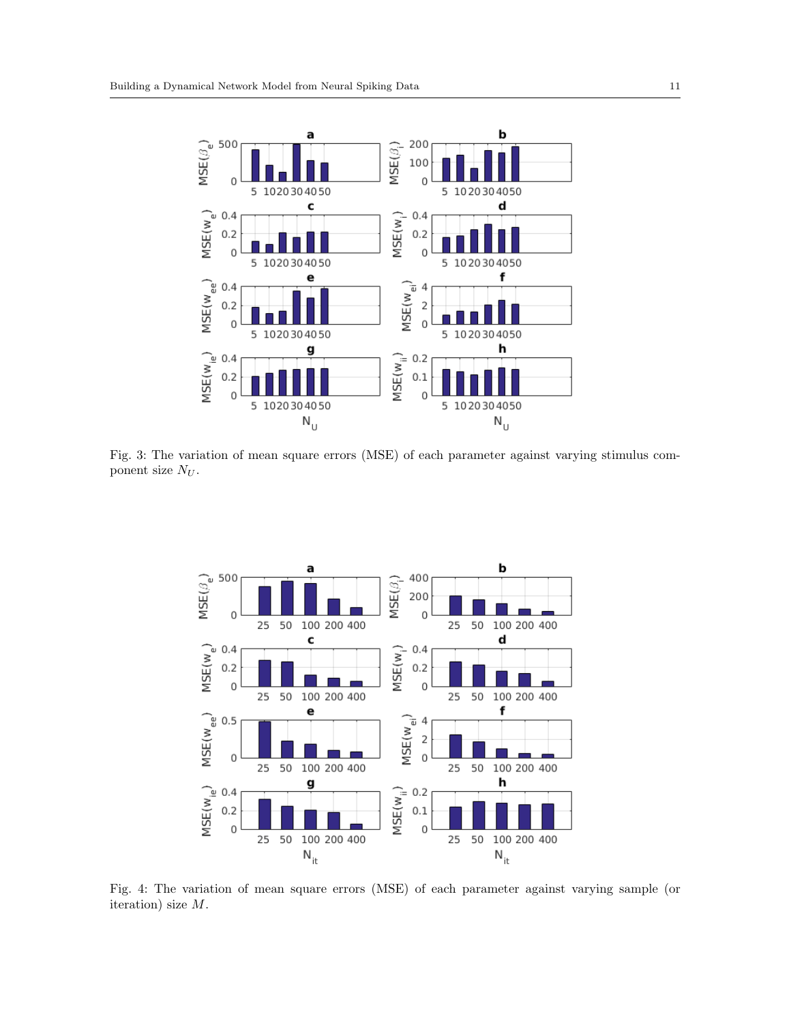<span id="page-10-0"></span>

Fig. 3: The variation of mean square errors (MSE) of each parameter against varying stimulus component size  $N_U$ .

<span id="page-10-1"></span>

Fig. 4: The variation of mean square errors (MSE) of each parameter against varying sample (or iteration) size M.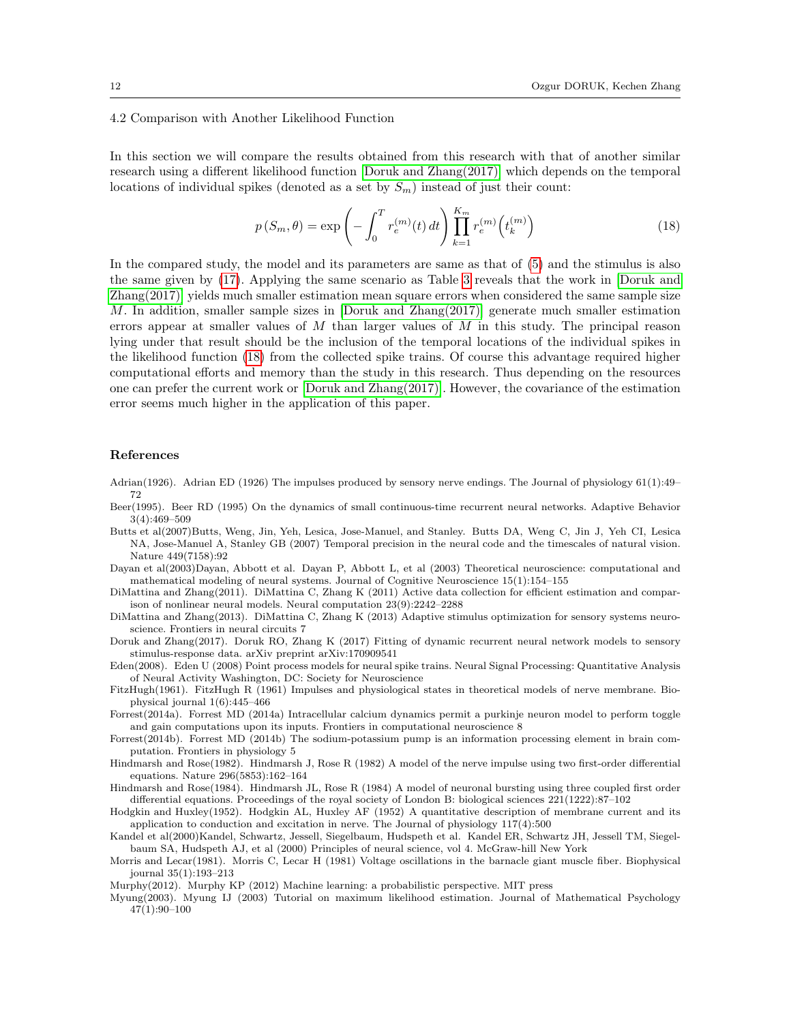## 4.2 Comparison with Another Likelihood Function

In this section we will compare the results obtained from this research with that of another similar research using a different likelihood function [\[Doruk and Zhang\(2017\)\]](#page-11-10) which depends on the temporal locations of individual spikes (denoted as a set by  $S_m$ ) instead of just their count:

<span id="page-11-18"></span>
$$
p(S_m, \theta) = \exp\left(-\int_0^T r_e^{(m)}(t) dt\right) \prod_{k=1}^{K_m} r_e^{(m)}\left(t_k^{(m)}\right)
$$
(18)

In the compared study, the model and its parameters are same as that of [\(5\)](#page-2-3) and the stimulus is also the same given by [\(17\)](#page-7-0). Applying the same scenario as Table [3](#page-9-1) reveals that the work in [\[Doruk and](#page-11-10) [Zhang\(2017\)\]](#page-11-10) yields much smaller estimation mean square errors when considered the same sample size M. In addition, smaller sample sizes in  $[Doruk and Zhang(2017)]$  generate much smaller estimation errors appear at smaller values of  $M$  than larger values of  $M$  in this study. The principal reason lying under that result should be the inclusion of the temporal locations of the individual spikes in the likelihood function [\(18\)](#page-11-18) from the collected spike trains. Of course this advantage required higher computational efforts and memory than the study in this research. Thus depending on the resources one can prefer the current work or [\[Doruk and Zhang\(2017\)\]](#page-11-10). However, the covariance of the estimation error seems much higher in the application of this paper.

#### References

- <span id="page-11-12"></span>Adrian(1926). Adrian ED (1926) The impulses produced by sensory nerve endings. The Journal of physiology 61(1):49– 72
- <span id="page-11-9"></span>Beer(1995). Beer RD (1995) On the dynamics of small continuous-time recurrent neural networks. Adaptive Behavior 3(4):469–509
- <span id="page-11-16"></span>Butts et al(2007)Butts, Weng, Jin, Yeh, Lesica, Jose-Manuel, and Stanley. Butts DA, Weng C, Jin J, Yeh CI, Lesica NA, Jose-Manuel A, Stanley GB (2007) Temporal precision in the neural code and the timescales of natural vision. Nature 449(7158):92
- <span id="page-11-15"></span>Dayan et al(2003)Dayan, Abbott et al. Dayan P, Abbott L, et al (2003) Theoretical neuroscience: computational and mathematical modeling of neural systems. Journal of Cognitive Neuroscience 15(1):154–155
- <span id="page-11-6"></span>DiMattina and Zhang(2011). DiMattina C, Zhang K (2011) Active data collection for efficient estimation and comparison of nonlinear neural models. Neural computation 23(9):2242–2288
- <span id="page-11-7"></span>DiMattina and Zhang(2013). DiMattina C, Zhang K (2013) Adaptive stimulus optimization for sensory systems neuroscience. Frontiers in neural circuits 7
- <span id="page-11-10"></span>Doruk and Zhang(2017). Doruk RO, Zhang K (2017) Fitting of dynamic recurrent neural network models to sensory stimulus-response data. arXiv preprint arXiv:170909541
- <span id="page-11-17"></span>Eden(2008). Eden U (2008) Point process models for neural spike trains. Neural Signal Processing: Quantitative Analysis of Neural Activity Washington, DC: Society for Neuroscience
- <span id="page-11-2"></span>FitzHugh(1961). FitzHugh R (1961) Impulses and physiological states in theoretical models of nerve membrane. Biophysical journal 1(6):445–466
- <span id="page-11-13"></span>Forrest(2014a). Forrest MD (2014a) Intracellular calcium dynamics permit a purkinje neuron model to perform toggle and gain computations upon its inputs. Frontiers in computational neuroscience 8
- <span id="page-11-14"></span>Forrest(2014b). Forrest MD (2014b) The sodium-potassium pump is an information processing element in brain computation. Frontiers in physiology 5
- <span id="page-11-3"></span>Hindmarsh and Rose(1982). Hindmarsh J, Rose R (1982) A model of the nerve impulse using two first-order differential equations. Nature 296(5853):162–164
- <span id="page-11-4"></span>Hindmarsh and Rose(1984). Hindmarsh JL, Rose R (1984) A model of neuronal bursting using three coupled first order differential equations. Proceedings of the royal society of London B: biological sciences 221(1222):87–102
- <span id="page-11-0"></span>Hodgkin and Huxley(1952). Hodgkin AL, Huxley AF (1952) A quantitative description of membrane current and its application to conduction and excitation in nerve. The Journal of physiology 117(4):500
- <span id="page-11-11"></span>Kandel et al(2000)Kandel, Schwartz, Jessell, Siegelbaum, Hudspeth et al. Kandel ER, Schwartz JH, Jessell TM, Siegelbaum SA, Hudspeth AJ, et al (2000) Principles of neural science, vol 4. McGraw-hill New York
- <span id="page-11-1"></span>Morris and Lecar(1981). Morris C, Lecar H (1981) Voltage oscillations in the barnacle giant muscle fiber. Biophysical journal 35(1):193–213
- <span id="page-11-8"></span>Murphy(2012). Murphy KP (2012) Machine learning: a probabilistic perspective. MIT press
- <span id="page-11-5"></span>Myung(2003). Myung IJ (2003) Tutorial on maximum likelihood estimation. Journal of Mathematical Psychology 47(1):90–100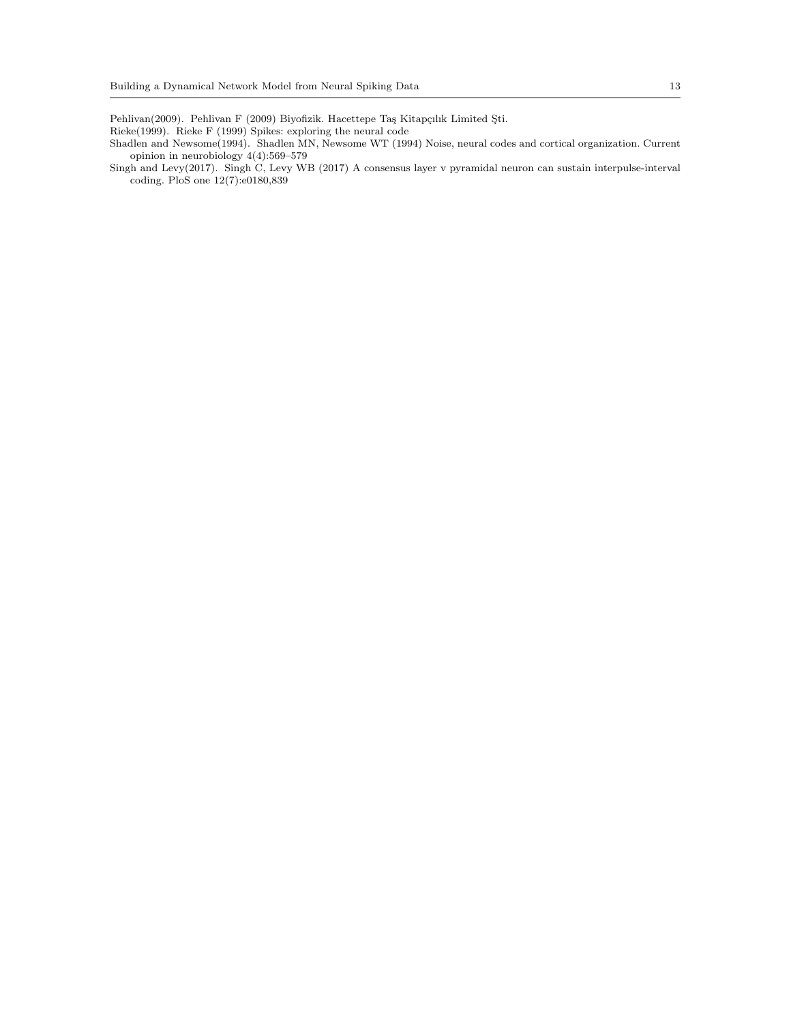<span id="page-12-0"></span>Pehlivan(2009). Pehlivan F (2009) Biyofizik. Hacettepe Taş Kitapçılık Limited Şti.

- <span id="page-12-2"></span>Rieke(1999). Rieke F (1999) Spikes: exploring the neural code
- <span id="page-12-1"></span>Shadlen and Newsome(1994). Shadlen MN, Newsome WT (1994) Noise, neural codes and cortical organization. Current opinion in neurobiology 4(4):569–579
- <span id="page-12-3"></span>Singh and Levy(2017). Singh C, Levy WB (2017) A consensus layer v pyramidal neuron can sustain interpulse-interval coding. PloS one 12(7):e0180,839